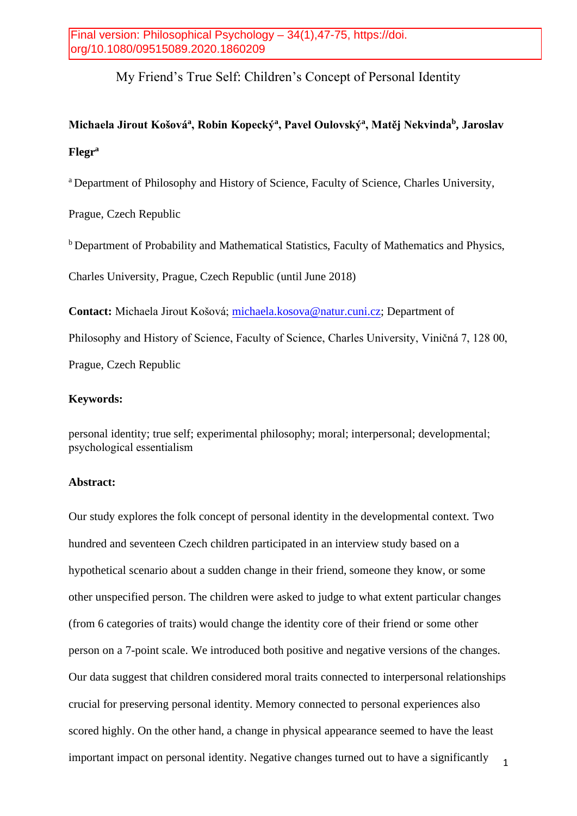# My Friend's True Self: Children's Concept of Personal Identity

# **Michaela Jirout Košová<sup>a</sup> , Robin Kopecký<sup>a</sup> , Pavel Oulovský<sup>a</sup> , Matěj Nekvinda<sup>b</sup> , Jaroslav Flegr<sup>a</sup>**

<sup>a</sup> Department of Philosophy and History of Science, Faculty of Science, Charles University,

Prague, Czech Republic

**b** Department of Probability and Mathematical Statistics, Faculty of Mathematics and Physics,

Charles University, Prague, Czech Republic (until June 2018)

**Contact:** Michaela Jirout Košová; [michaela.kosova@natur.cuni.cz;](mailto:michaela.kosova@natur.cuni.cz) Department of Philosophy and History of Science, Faculty of Science, Charles University, Viničná 7, 128 00, Prague, Czech Republic

### **Keywords:**

personal identity; true self; experimental philosophy; moral; interpersonal; developmental; psychological essentialism

# **Abstract:**

1 Our study explores the folk concept of personal identity in the developmental context. Two hundred and seventeen Czech children participated in an interview study based on a hypothetical scenario about a sudden change in their friend, someone they know, or some other unspecified person. The children were asked to judge to what extent particular changes (from 6 categories of traits) would change the identity core of their friend or some other person on a 7-point scale. We introduced both positive and negative versions of the changes. Our data suggest that children considered moral traits connected to interpersonal relationships crucial for preserving personal identity. Memory connected to personal experiences also scored highly. On the other hand, a change in physical appearance seemed to have the least important impact on personal identity. Negative changes turned out to have a significantly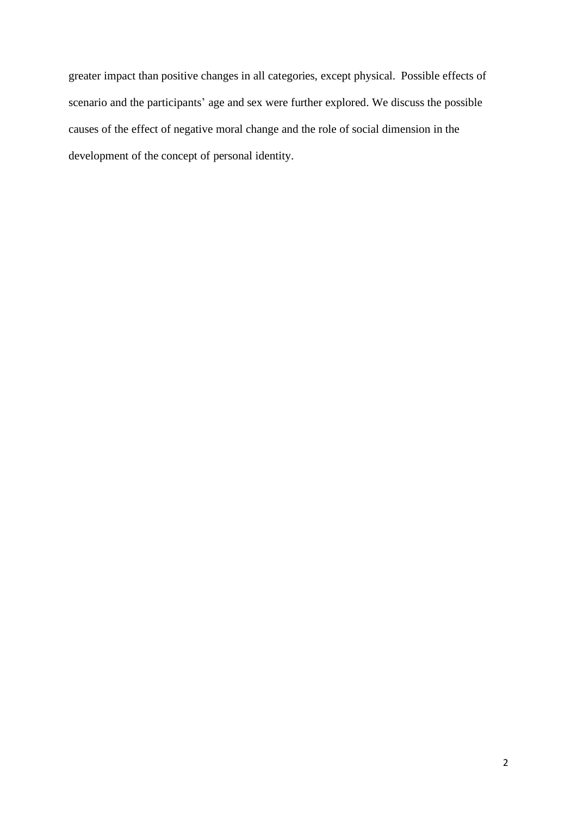greater impact than positive changes in all categories, except physical. Possible effects of scenario and the participants' age and sex were further explored. We discuss the possible causes of the effect of negative moral change and the role of social dimension in the development of the concept of personal identity.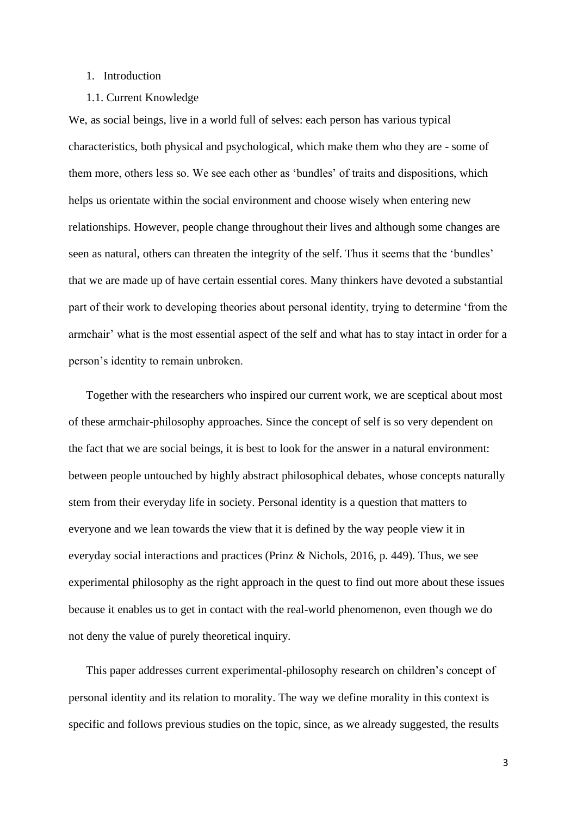#### 1. Introduction

#### 1.1. Current Knowledge

We, as social beings, live in a world full of selves: each person has various typical characteristics, both physical and psychological, which make them who they are - some of them more, others less so. We see each other as 'bundles' of traits and dispositions, which helps us orientate within the social environment and choose wisely when entering new relationships. However, people change throughout their lives and although some changes are seen as natural, others can threaten the integrity of the self. Thus it seems that the 'bundles' that we are made up of have certain essential cores. Many thinkers have devoted a substantial part of their work to developing theories about personal identity, trying to determine 'from the armchair' what is the most essential aspect of the self and what has to stay intact in order for a person's identity to remain unbroken.

Together with the researchers who inspired our current work, we are sceptical about most of these armchair-philosophy approaches. Since the concept of self is so very dependent on the fact that we are social beings, it is best to look for the answer in a natural environment: between people untouched by highly abstract philosophical debates, whose concepts naturally stem from their everyday life in society. Personal identity is a question that matters to everyone and we lean towards the view that it is defined by the way people view it in everyday social interactions and practices (Prinz & Nichols, 2016, p. 449). Thus, we see experimental philosophy as the right approach in the quest to find out more about these issues because it enables us to get in contact with the real-world phenomenon, even though we do not deny the value of purely theoretical inquiry.

This paper addresses current experimental-philosophy research on children's concept of personal identity and its relation to morality. The way we define morality in this context is specific and follows previous studies on the topic, since, as we already suggested, the results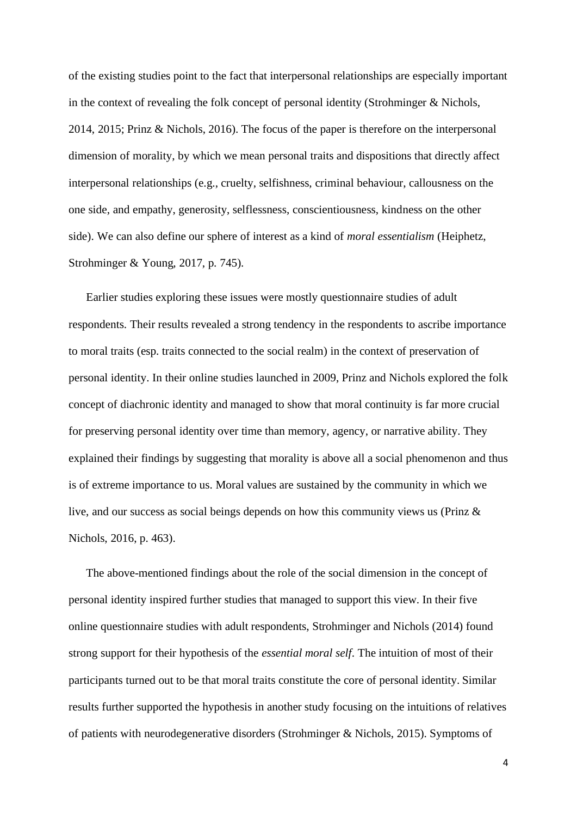of the existing studies point to the fact that interpersonal relationships are especially important in the context of revealing the folk concept of personal identity (Strohminger & Nichols, 2014, 2015; Prinz & Nichols, 2016). The focus of the paper is therefore on the interpersonal dimension of morality, by which we mean personal traits and dispositions that directly affect interpersonal relationships (e.g., cruelty, selfishness, criminal behaviour, callousness on the one side, and empathy, generosity, selflessness, conscientiousness, kindness on the other side). We can also define our sphere of interest as a kind of *moral essentialism* (Heiphetz, Strohminger & Young, 2017, p. 745).

Earlier studies exploring these issues were mostly questionnaire studies of adult respondents. Their results revealed a strong tendency in the respondents to ascribe importance to moral traits (esp. traits connected to the social realm) in the context of preservation of personal identity. In their online studies launched in 2009, Prinz and Nichols explored the folk concept of diachronic identity and managed to show that moral continuity is far more crucial for preserving personal identity over time than memory, agency, or narrative ability. They explained their findings by suggesting that morality is above all a social phenomenon and thus is of extreme importance to us. Moral values are sustained by the community in which we live, and our success as social beings depends on how this community views us (Prinz & Nichols, 2016, p. 463).

The above-mentioned findings about the role of the social dimension in the concept of personal identity inspired further studies that managed to support this view. In their five online questionnaire studies with adult respondents, Strohminger and Nichols (2014) found strong support for their hypothesis of the *essential moral self*. The intuition of most of their participants turned out to be that moral traits constitute the core of personal identity. Similar results further supported the hypothesis in another study focusing on the intuitions of relatives of patients with neurodegenerative disorders (Strohminger & Nichols, 2015). Symptoms of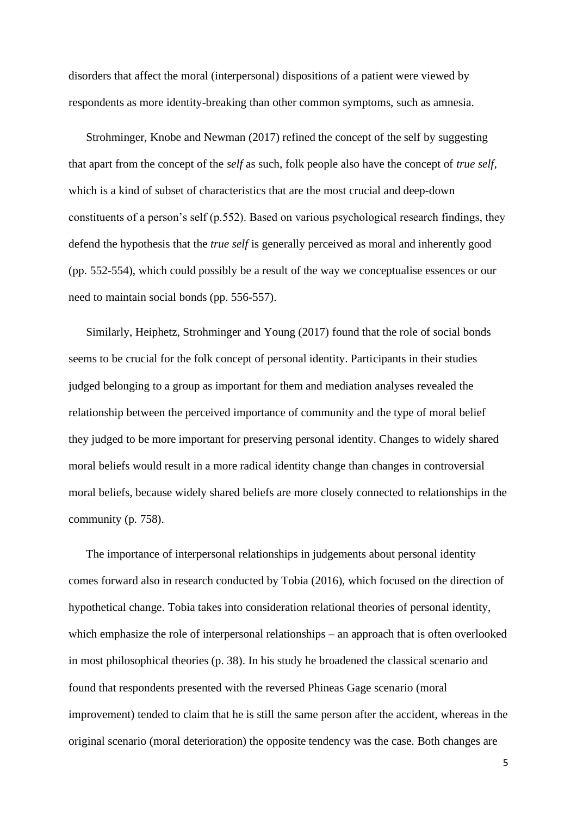disorders that affect the moral (interpersonal) dispositions of a patient were viewed by respondents as more identity-breaking than other common symptoms, such as amnesia.

Strohminger, Knobe and Newman (2017) refined the concept of the self by suggesting that apart from the concept of the *self* as such, folk people also have the concept of *true self,* which is a kind of subset of characteristics that are the most crucial and deep-down constituents of a person's self (p.552). Based on various psychological research findings, they defend the hypothesis that the *true self* is generally perceived as moral and inherently good (pp. 552-554), which could possibly be a result of the way we conceptualise essences or our need to maintain social bonds (pp. 556-557).

Similarly, Heiphetz, Strohminger and Young (2017) found that the role of social bonds seems to be crucial for the folk concept of personal identity. Participants in their studies judged belonging to a group as important for them and mediation analyses revealed the relationship between the perceived importance of community and the type of moral belief they judged to be more important for preserving personal identity. Changes to widely shared moral beliefs would result in a more radical identity change than changes in controversial moral beliefs, because widely shared beliefs are more closely connected to relationships in the community (p. 758).

The importance of interpersonal relationships in judgements about personal identity comes forward also in research conducted by Tobia (2016), which focused on the direction of hypothetical change. Tobia takes into consideration relational theories of personal identity, which emphasize the role of interpersonal relationships – an approach that is often overlooked in most philosophical theories (p. 38). In his study he broadened the classical scenario and found that respondents presented with the reversed Phineas Gage scenario (moral improvement) tended to claim that he is still the same person after the accident, whereas in the original scenario (moral deterioration) the opposite tendency was the case. Both changes are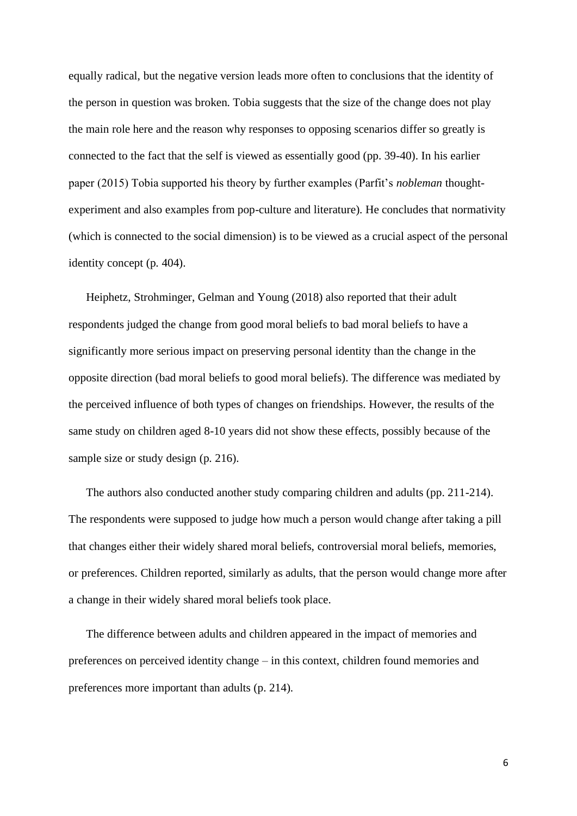equally radical, but the negative version leads more often to conclusions that the identity of the person in question was broken. Tobia suggests that the size of the change does not play the main role here and the reason why responses to opposing scenarios differ so greatly is connected to the fact that the self is viewed as essentially good (pp. 39-40). In his earlier paper (2015) Tobia supported his theory by further examples (Parfit's *nobleman* thoughtexperiment and also examples from pop-culture and literature). He concludes that normativity (which is connected to the social dimension) is to be viewed as a crucial aspect of the personal identity concept (p. 404).

Heiphetz, Strohminger, Gelman and Young (2018) also reported that their adult respondents judged the change from good moral beliefs to bad moral beliefs to have a significantly more serious impact on preserving personal identity than the change in the opposite direction (bad moral beliefs to good moral beliefs). The difference was mediated by the perceived influence of both types of changes on friendships. However, the results of the same study on children aged 8-10 years did not show these effects, possibly because of the sample size or study design (p. 216).

The authors also conducted another study comparing children and adults (pp. 211-214). The respondents were supposed to judge how much a person would change after taking a pill that changes either their widely shared moral beliefs, controversial moral beliefs, memories, or preferences. Children reported, similarly as adults, that the person would change more after a change in their widely shared moral beliefs took place.

The difference between adults and children appeared in the impact of memories and preferences on perceived identity change – in this context, children found memories and preferences more important than adults (p. 214).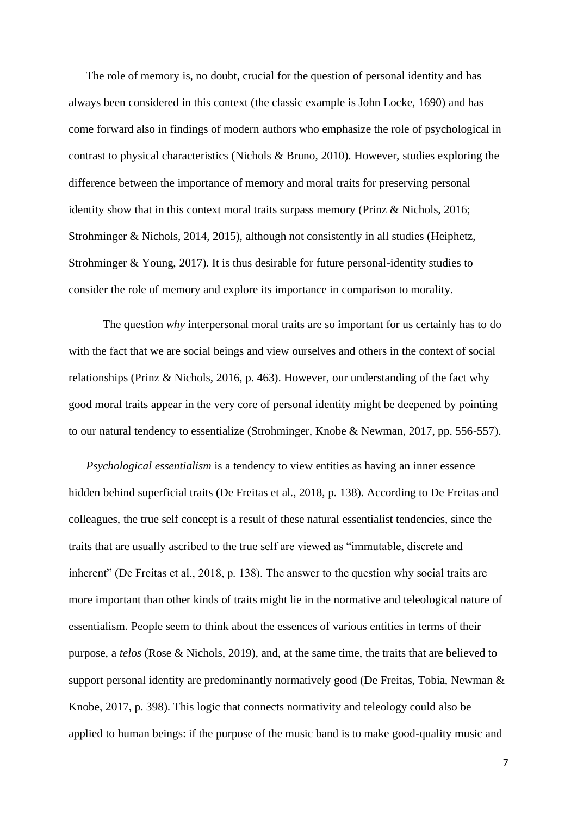The role of memory is, no doubt, crucial for the question of personal identity and has always been considered in this context (the classic example is John Locke, 1690) and has come forward also in findings of modern authors who emphasize the role of psychological in contrast to physical characteristics (Nichols & Bruno, 2010). However, studies exploring the difference between the importance of memory and moral traits for preserving personal identity show that in this context moral traits surpass memory (Prinz & Nichols, 2016; Strohminger & Nichols, 2014, 2015), although not consistently in all studies (Heiphetz, Strohminger & Young, 2017). It is thus desirable for future personal-identity studies to consider the role of memory and explore its importance in comparison to morality.

The question *why* interpersonal moral traits are so important for us certainly has to do with the fact that we are social beings and view ourselves and others in the context of social relationships (Prinz & Nichols, 2016, p. 463). However, our understanding of the fact why good moral traits appear in the very core of personal identity might be deepened by pointing to our natural tendency to essentialize (Strohminger, Knobe & Newman, 2017, pp. 556-557).

*Psychological essentialism* is a tendency to view entities as having an inner essence hidden behind superficial traits (De Freitas et al., 2018, p. 138). According to De Freitas and colleagues, the true self concept is a result of these natural essentialist tendencies, since the traits that are usually ascribed to the true self are viewed as "immutable, discrete and inherent" (De Freitas et al., 2018, p. 138). The answer to the question why social traits are more important than other kinds of traits might lie in the normative and teleological nature of essentialism. People seem to think about the essences of various entities in terms of their purpose, a *telos* (Rose & Nichols, 2019), and, at the same time, the traits that are believed to support personal identity are predominantly normatively good (De Freitas, Tobia, Newman & Knobe, 2017, p. 398). This logic that connects normativity and teleology could also be applied to human beings: if the purpose of the music band is to make good-quality music and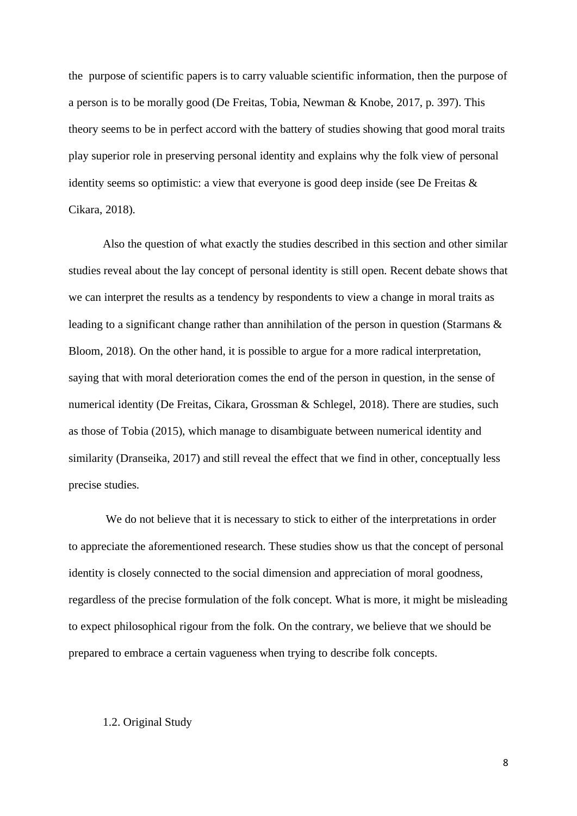the purpose of scientific papers is to carry valuable scientific information, then the purpose of a person is to be morally good (De Freitas, Tobia, Newman & Knobe, 2017, p. 397). This theory seems to be in perfect accord with the battery of studies showing that good moral traits play superior role in preserving personal identity and explains why the folk view of personal identity seems so optimistic: a view that everyone is good deep inside (see De Freitas & Cikara, 2018).

Also the question of what exactly the studies described in this section and other similar studies reveal about the lay concept of personal identity is still open. Recent debate shows that we can interpret the results as a tendency by respondents to view a change in moral traits as leading to a significant change rather than annihilation of the person in question (Starmans & Bloom, 2018). On the other hand, it is possible to argue for a more radical interpretation, saying that with moral deterioration comes the end of the person in question, in the sense of numerical identity (De Freitas, Cikara, Grossman & Schlegel, 2018). There are studies, such as those of Tobia (2015), which manage to disambiguate between numerical identity and similarity (Dranseika, 2017) and still reveal the effect that we find in other, conceptually less precise studies.

We do not believe that it is necessary to stick to either of the interpretations in order to appreciate the aforementioned research. These studies show us that the concept of personal identity is closely connected to the social dimension and appreciation of moral goodness, regardless of the precise formulation of the folk concept. What is more, it might be misleading to expect philosophical rigour from the folk. On the contrary, we believe that we should be prepared to embrace a certain vagueness when trying to describe folk concepts.

#### 1.2. Original Study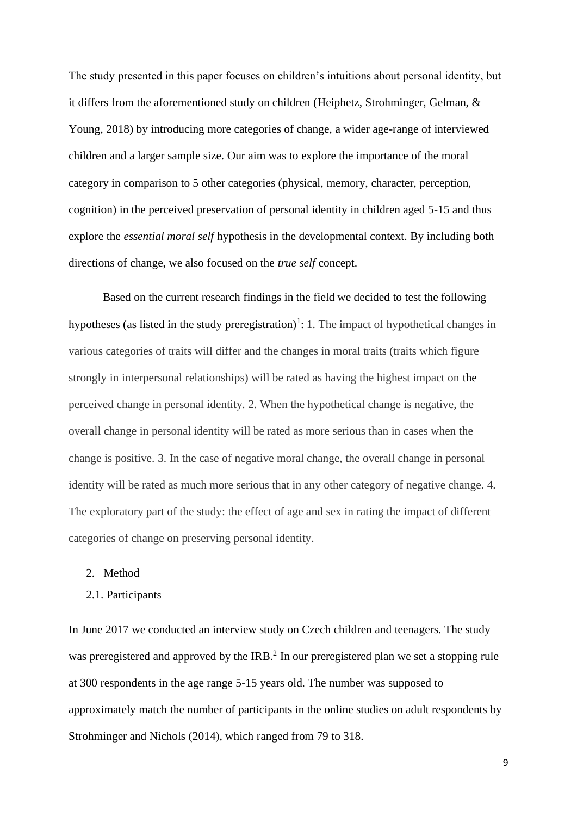The study presented in this paper focuses on children's intuitions about personal identity, but it differs from the aforementioned study on children (Heiphetz, Strohminger, Gelman, & Young, 2018) by introducing more categories of change, a wider age-range of interviewed children and a larger sample size. Our aim was to explore the importance of the moral category in comparison to 5 other categories (physical, memory, character, perception, cognition) in the perceived preservation of personal identity in children aged 5-15 and thus explore the *essential moral self* hypothesis in the developmental context. By including both directions of change, we also focused on the *true self* concept.

Based on the current research findings in the field we decided to test the following hypotheses (as listed in the study preregistration)<sup>1</sup>: 1. The impact of hypothetical changes in various categories of traits will differ and the changes in moral traits (traits which figure strongly in interpersonal relationships) will be rated as having the highest impact on the perceived change in personal identity. 2. When the hypothetical change is negative, the overall change in personal identity will be rated as more serious than in cases when the change is positive. 3. In the case of negative moral change, the overall change in personal identity will be rated as much more serious that in any other category of negative change. 4. The exploratory part of the study: the effect of age and sex in rating the impact of different categories of change on preserving personal identity.

- 2. Method
- 2.1. Participants

In June 2017 we conducted an interview study on Czech children and teenagers. The study was preregistered and approved by the IRB.<sup>2</sup> In our preregistered plan we set a stopping rule at 300 respondents in the age range 5-15 years old. The number was supposed to approximately match the number of participants in the online studies on adult respondents by Strohminger and Nichols (2014), which ranged from 79 to 318.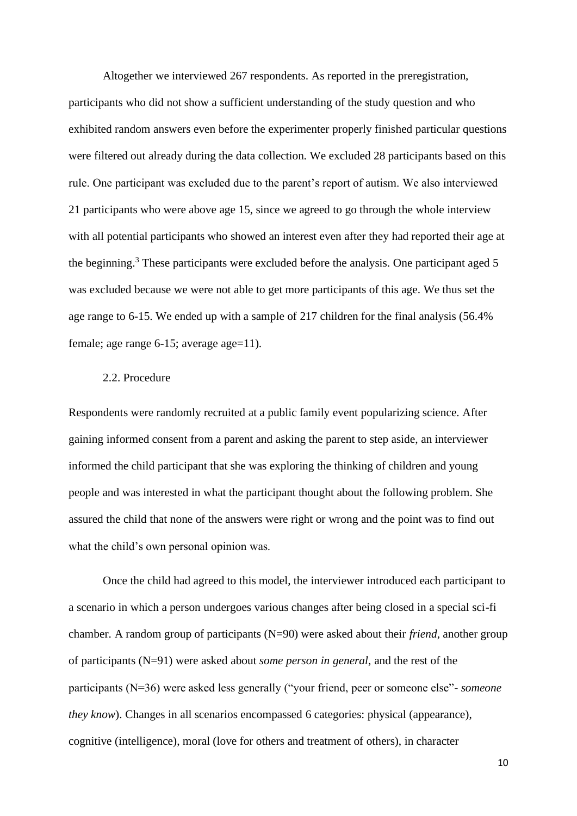Altogether we interviewed 267 respondents. As reported in the preregistration, participants who did not show a sufficient understanding of the study question and who exhibited random answers even before the experimenter properly finished particular questions were filtered out already during the data collection. We excluded 28 participants based on this rule. One participant was excluded due to the parent's report of autism. We also interviewed 21 participants who were above age 15, since we agreed to go through the whole interview with all potential participants who showed an interest even after they had reported their age at the beginning.<sup>3</sup> These participants were excluded before the analysis. One participant aged 5 was excluded because we were not able to get more participants of this age. We thus set the age range to 6-15. We ended up with a sample of 217 children for the final analysis (56.4% female; age range 6-15; average age=11).

### 2.2. Procedure

Respondents were randomly recruited at a public family event popularizing science. After gaining informed consent from a parent and asking the parent to step aside, an interviewer informed the child participant that she was exploring the thinking of children and young people and was interested in what the participant thought about the following problem. She assured the child that none of the answers were right or wrong and the point was to find out what the child's own personal opinion was.

Once the child had agreed to this model, the interviewer introduced each participant to a scenario in which a person undergoes various changes after being closed in a special sci-fi chamber. A random group of participants (N=90) were asked about their *friend*, another group of participants (N=91) were asked about *some person in general*, and the rest of the participants (N=36) were asked less generally ("your friend, peer or someone else"- *someone they know*). Changes in all scenarios encompassed 6 categories: physical (appearance), cognitive (intelligence), moral (love for others and treatment of others), in character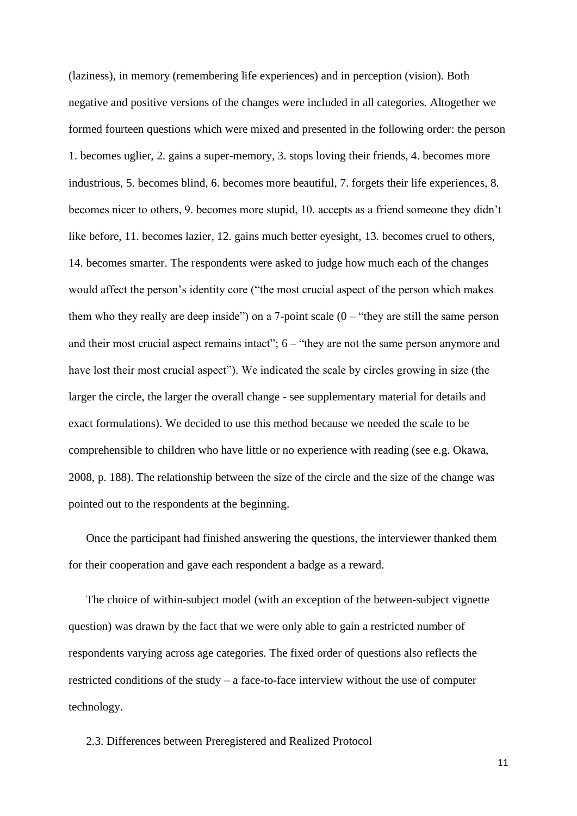(laziness), in memory (remembering life experiences) and in perception (vision). Both negative and positive versions of the changes were included in all categories. Altogether we formed fourteen questions which were mixed and presented in the following order: the person 1. becomes uglier, 2. gains a super-memory, 3. stops loving their friends, 4. becomes more industrious, 5. becomes blind, 6. becomes more beautiful, 7. forgets their life experiences, 8. becomes nicer to others, 9. becomes more stupid, 10. accepts as a friend someone they didn't like before, 11. becomes lazier, 12. gains much better eyesight, 13. becomes cruel to others, 14. becomes smarter. The respondents were asked to judge how much each of the changes would affect the person's identity core ("the most crucial aspect of the person which makes them who they really are deep inside") on a 7-point scale  $(0 - "they are still the same person")$ and their most crucial aspect remains intact"; 6 – "they are not the same person anymore and have lost their most crucial aspect"). We indicated the scale by circles growing in size (the larger the circle, the larger the overall change - see supplementary material for details and exact formulations). We decided to use this method because we needed the scale to be comprehensible to children who have little or no experience with reading (see e.g. Okawa, 2008, p. 188). The relationship between the size of the circle and the size of the change was pointed out to the respondents at the beginning.

Once the participant had finished answering the questions, the interviewer thanked them for their cooperation and gave each respondent a badge as a reward.

The choice of within-subject model (with an exception of the between-subject vignette question) was drawn by the fact that we were only able to gain a restricted number of respondents varying across age categories. The fixed order of questions also reflects the restricted conditions of the study – a face-to-face interview without the use of computer technology.

2.3. Differences between Preregistered and Realized Protocol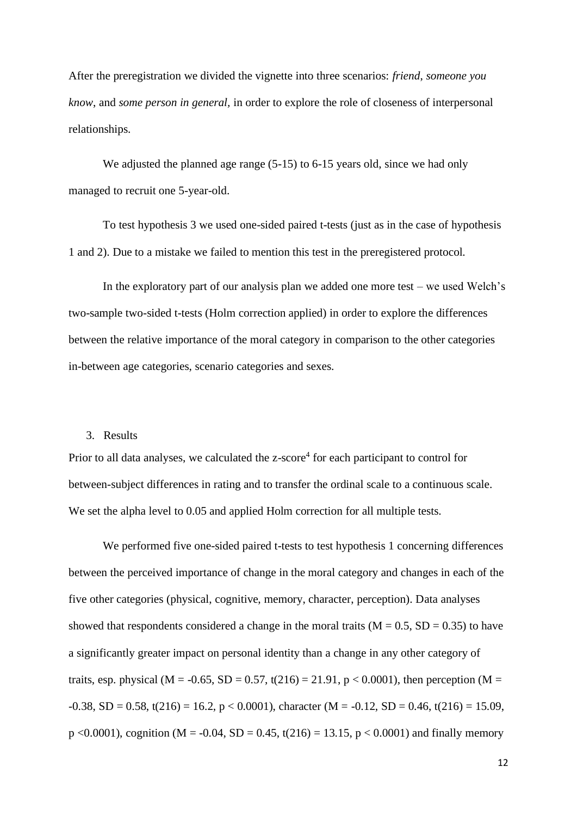After the preregistration we divided the vignette into three scenarios: *friend*, *someone you know*, and *some person in general,* in order to explore the role of closeness of interpersonal relationships.

We adjusted the planned age range  $(5-15)$  to 6-15 years old, since we had only managed to recruit one 5-year-old.

To test hypothesis 3 we used one-sided paired t-tests (just as in the case of hypothesis 1 and 2). Due to a mistake we failed to mention this test in the preregistered protocol.

In the exploratory part of our analysis plan we added one more test – we used Welch's two-sample two-sided t-tests (Holm correction applied) in order to explore the differences between the relative importance of the moral category in comparison to the other categories in-between age categories, scenario categories and sexes.

#### 3. Results

Prior to all data analyses, we calculated the z-score<sup>4</sup> for each participant to control for between-subject differences in rating and to transfer the ordinal scale to a continuous scale. We set the alpha level to 0.05 and applied Holm correction for all multiple tests.

We performed five one-sided paired t-tests to test hypothesis 1 concerning differences between the perceived importance of change in the moral category and changes in each of the five other categories (physical, cognitive, memory, character, perception). Data analyses showed that respondents considered a change in the moral traits ( $M = 0.5$ ,  $SD = 0.35$ ) to have a significantly greater impact on personal identity than a change in any other category of traits, esp. physical (M = -0.65, SD = 0.57, t(216) = 21.91, p < 0.0001), then perception (M =  $-0.38$ , SD = 0.58, t(216) = 16.2, p < 0.0001), character (M =  $-0.12$ , SD = 0.46, t(216) = 15.09, p <0.0001), cognition (M = -0.04, SD = 0.45, t(216) = 13.15, p < 0.0001) and finally memory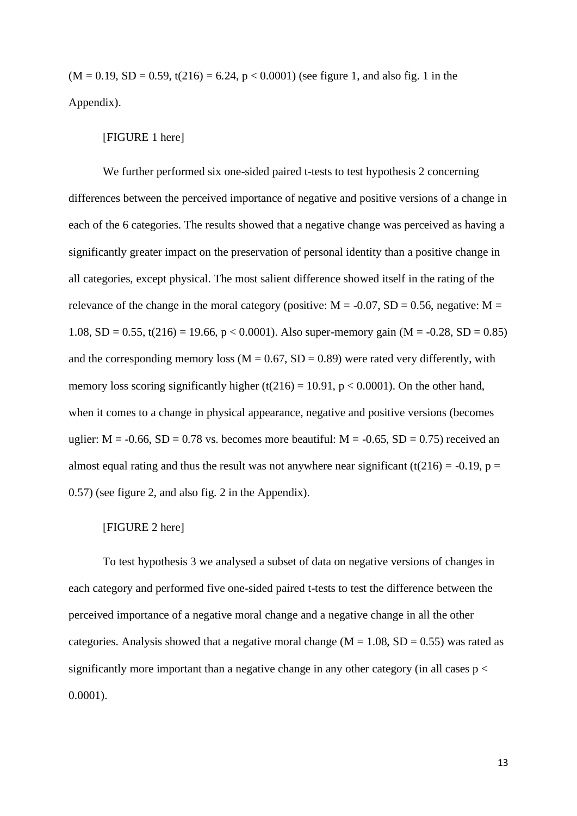$(M = 0.19, SD = 0.59, t(216) = 6.24, p < 0.0001)$  (see figure 1, and also fig. 1 in the Appendix).

#### [FIGURE 1 here]

We further performed six one-sided paired t-tests to test hypothesis 2 concerning differences between the perceived importance of negative and positive versions of a change in each of the 6 categories. The results showed that a negative change was perceived as having a significantly greater impact on the preservation of personal identity than a positive change in all categories, except physical. The most salient difference showed itself in the rating of the relevance of the change in the moral category (positive:  $M = -0.07$ , SD = 0.56, negative: M = 1.08, SD = 0.55, t(216) = 19.66, p < 0.0001). Also super-memory gain (M = -0.28, SD = 0.85) and the corresponding memory loss ( $M = 0.67$ ,  $SD = 0.89$ ) were rated very differently, with memory loss scoring significantly higher (t(216) = 10.91,  $p < 0.0001$ ). On the other hand, when it comes to a change in physical appearance, negative and positive versions (becomes uglier:  $M = -0.66$ ,  $SD = 0.78$  vs. becomes more beautiful:  $M = -0.65$ ,  $SD = 0.75$ ) received an almost equal rating and thus the result was not anywhere near significant (t(216) = -0.19, p = 0.57) (see figure 2, and also fig. 2 in the Appendix).

### [FIGURE 2 here]

To test hypothesis 3 we analysed a subset of data on negative versions of changes in each category and performed five one-sided paired t-tests to test the difference between the perceived importance of a negative moral change and a negative change in all the other categories. Analysis showed that a negative moral change ( $M = 1.08$ ,  $SD = 0.55$ ) was rated as significantly more important than a negative change in any other category (in all cases  $p <$ 0.0001).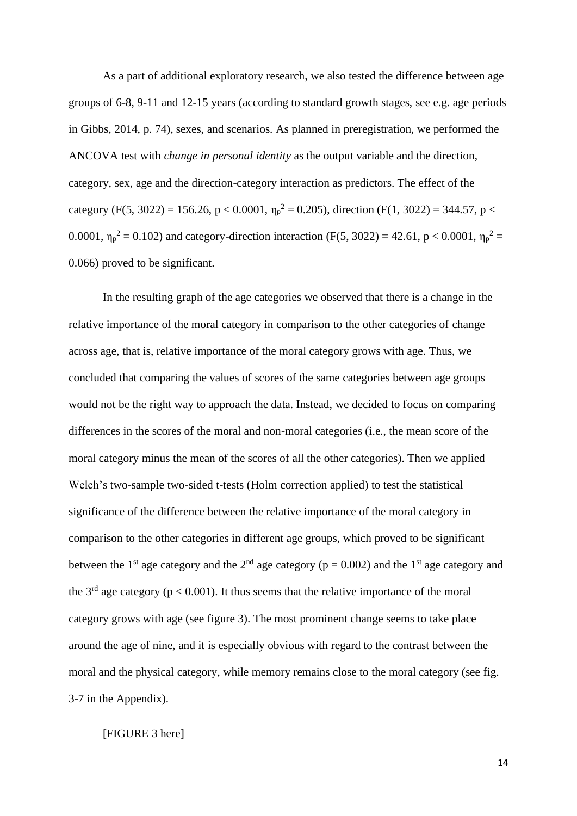As a part of additional exploratory research, we also tested the difference between age groups of 6-8, 9-11 and 12-15 years (according to standard growth stages, see e.g. age periods in Gibbs, 2014, p. 74), sexes, and scenarios. As planned in preregistration, we performed the ANCOVA test with *change in personal identity* as the output variable and the direction, category, sex, age and the direction-category interaction as predictors. The effect of the category (F(5, 3022) = 156.26, p < 0.0001,  $\eta_p^2 = 0.205$ ), direction (F(1, 3022) = 344.57, p < 0.0001,  $\eta_p^2 = 0.102$ ) and category-direction interaction (F(5, 3022) = 42.61, p < 0.0001,  $\eta_p^2 =$ 0.066) proved to be significant.

In the resulting graph of the age categories we observed that there is a change in the relative importance of the moral category in comparison to the other categories of change across age, that is, relative importance of the moral category grows with age. Thus, we concluded that comparing the values of scores of the same categories between age groups would not be the right way to approach the data. Instead, we decided to focus on comparing differences in the scores of the moral and non-moral categories (i.e., the mean score of the moral category minus the mean of the scores of all the other categories). Then we applied Welch's two-sample two-sided t-tests (Holm correction applied) to test the statistical significance of the difference between the relative importance of the moral category in comparison to the other categories in different age groups, which proved to be significant between the 1<sup>st</sup> age category and the 2<sup>nd</sup> age category ( $p = 0.002$ ) and the 1<sup>st</sup> age category and the  $3<sup>rd</sup>$  age category ( $p < 0.001$ ). It thus seems that the relative importance of the moral category grows with age (see figure 3). The most prominent change seems to take place around the age of nine, and it is especially obvious with regard to the contrast between the moral and the physical category, while memory remains close to the moral category (see fig. 3-7 in the Appendix).

[FIGURE 3 here]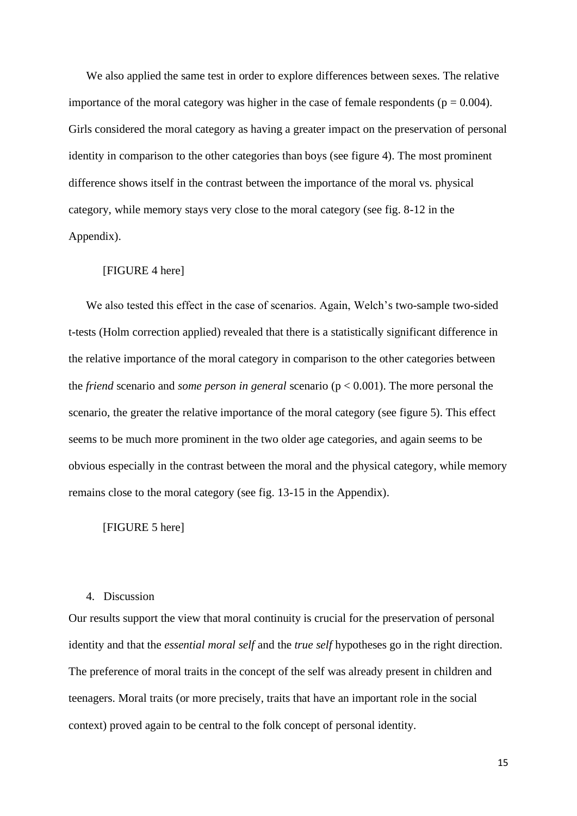We also applied the same test in order to explore differences between sexes. The relative importance of the moral category was higher in the case of female respondents ( $p = 0.004$ ). Girls considered the moral category as having a greater impact on the preservation of personal identity in comparison to the other categories than boys (see figure 4). The most prominent difference shows itself in the contrast between the importance of the moral vs. physical category, while memory stays very close to the moral category (see fig. 8-12 in the Appendix).

### [FIGURE 4 here]

We also tested this effect in the case of scenarios. Again, Welch's two-sample two-sided t-tests (Holm correction applied) revealed that there is a statistically significant difference in the relative importance of the moral category in comparison to the other categories between the *friend* scenario and *some person in general* scenario (p < 0.001). The more personal the scenario, the greater the relative importance of the moral category (see figure 5). This effect seems to be much more prominent in the two older age categories, and again seems to be obvious especially in the contrast between the moral and the physical category, while memory remains close to the moral category (see fig. 13-15 in the Appendix).

[FIGURE 5 here]

#### 4. Discussion

Our results support the view that moral continuity is crucial for the preservation of personal identity and that the *essential moral self* and the *true self* hypotheses go in the right direction. The preference of moral traits in the concept of the self was already present in children and teenagers. Moral traits (or more precisely, traits that have an important role in the social context) proved again to be central to the folk concept of personal identity.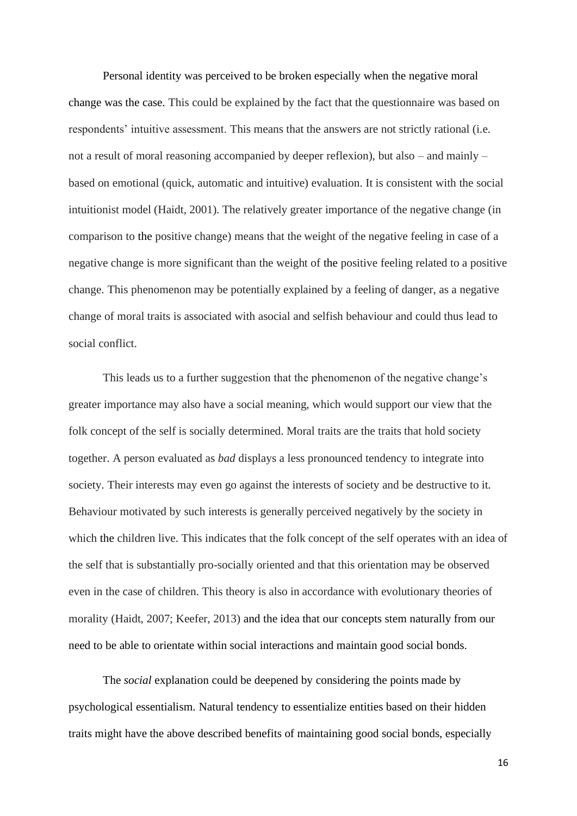Personal identity was perceived to be broken especially when the negative moral change was the case. This could be explained by the fact that the questionnaire was based on respondents' intuitive assessment. This means that the answers are not strictly rational (i.e. not a result of moral reasoning accompanied by deeper reflexion), but also – and mainly – based on emotional (quick, automatic and intuitive) evaluation. It is consistent with the social intuitionist model (Haidt, 2001). The relatively greater importance of the negative change (in comparison to the positive change) means that the weight of the negative feeling in case of a negative change is more significant than the weight of the positive feeling related to a positive change. This phenomenon may be potentially explained by a feeling of danger, as a negative change of moral traits is associated with asocial and selfish behaviour and could thus lead to social conflict.

This leads us to a further suggestion that the phenomenon of the negative change's greater importance may also have a social meaning, which would support our view that the folk concept of the self is socially determined. Moral traits are the traits that hold society together. A person evaluated as *bad* displays a less pronounced tendency to integrate into society. Their interests may even go against the interests of society and be destructive to it. Behaviour motivated by such interests is generally perceived negatively by the society in which the children live. This indicates that the folk concept of the self operates with an idea of the self that is substantially pro-socially oriented and that this orientation may be observed even in the case of children. This theory is also in accordance with evolutionary theories of morality (Haidt, 2007; Keefer, 2013) and the idea that our concepts stem naturally from our need to be able to orientate within social interactions and maintain good social bonds.

The *social* explanation could be deepened by considering the points made by psychological essentialism. Natural tendency to essentialize entities based on their hidden traits might have the above described benefits of maintaining good social bonds, especially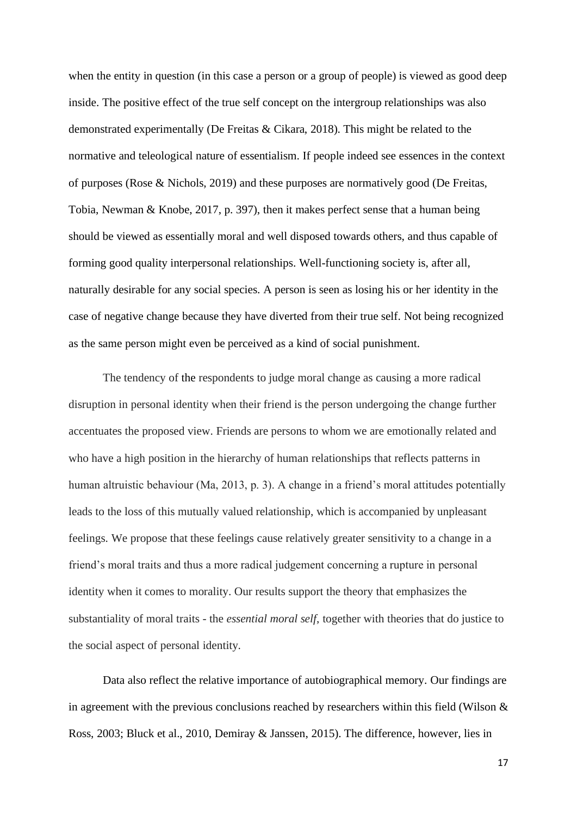when the entity in question (in this case a person or a group of people) is viewed as good deep inside. The positive effect of the true self concept on the intergroup relationships was also demonstrated experimentally (De Freitas & Cikara, 2018). This might be related to the normative and teleological nature of essentialism. If people indeed see essences in the context of purposes (Rose & Nichols, 2019) and these purposes are normatively good (De Freitas, Tobia, Newman & Knobe, 2017, p. 397), then it makes perfect sense that a human being should be viewed as essentially moral and well disposed towards others, and thus capable of forming good quality interpersonal relationships. Well-functioning society is, after all, naturally desirable for any social species. A person is seen as losing his or her identity in the case of negative change because they have diverted from their true self. Not being recognized as the same person might even be perceived as a kind of social punishment.

The tendency of the respondents to judge moral change as causing a more radical disruption in personal identity when their friend is the person undergoing the change further accentuates the proposed view. Friends are persons to whom we are emotionally related and who have a high position in the hierarchy of human relationships that reflects patterns in human altruistic behaviour (Ma, 2013, p. 3). A change in a friend's moral attitudes potentially leads to the loss of this mutually valued relationship, which is accompanied by unpleasant feelings. We propose that these feelings cause relatively greater sensitivity to a change in a friend's moral traits and thus a more radical judgement concerning a rupture in personal identity when it comes to morality. Our results support the theory that emphasizes the substantiality of moral traits - the *essential moral self*, together with theories that do justice to the social aspect of personal identity.

Data also reflect the relative importance of autobiographical memory. Our findings are in agreement with the previous conclusions reached by researchers within this field (Wilson  $\&$ Ross, 2003; Bluck et al., 2010, Demiray & Janssen, 2015). The difference, however, lies in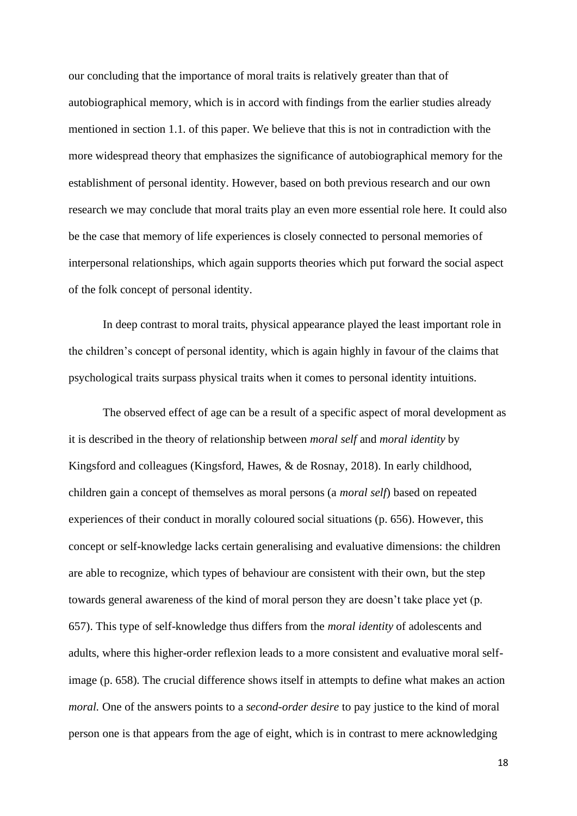our concluding that the importance of moral traits is relatively greater than that of autobiographical memory, which is in accord with findings from the earlier studies already mentioned in section 1.1. of this paper. We believe that this is not in contradiction with the more widespread theory that emphasizes the significance of autobiographical memory for the establishment of personal identity. However, based on both previous research and our own research we may conclude that moral traits play an even more essential role here. It could also be the case that memory of life experiences is closely connected to personal memories of interpersonal relationships, which again supports theories which put forward the social aspect of the folk concept of personal identity.

In deep contrast to moral traits, physical appearance played the least important role in the children's concept of personal identity, which is again highly in favour of the claims that psychological traits surpass physical traits when it comes to personal identity intuitions.

The observed effect of age can be a result of a specific aspect of moral development as it is described in the theory of relationship between *moral self* and *moral identity* by Kingsford and colleagues (Kingsford, Hawes, & de Rosnay, 2018). In early childhood, children gain a concept of themselves as moral persons (a *moral self*) based on repeated experiences of their conduct in morally coloured social situations (p. 656). However, this concept or self-knowledge lacks certain generalising and evaluative dimensions: the children are able to recognize, which types of behaviour are consistent with their own, but the step towards general awareness of the kind of moral person they are doesn't take place yet (p. 657). This type of self-knowledge thus differs from the *moral identity* of adolescents and adults, where this higher-order reflexion leads to a more consistent and evaluative moral selfimage (p. 658). The crucial difference shows itself in attempts to define what makes an action *moral.* One of the answers points to a *second-order desire* to pay justice to the kind of moral person one is that appears from the age of eight, which is in contrast to mere acknowledging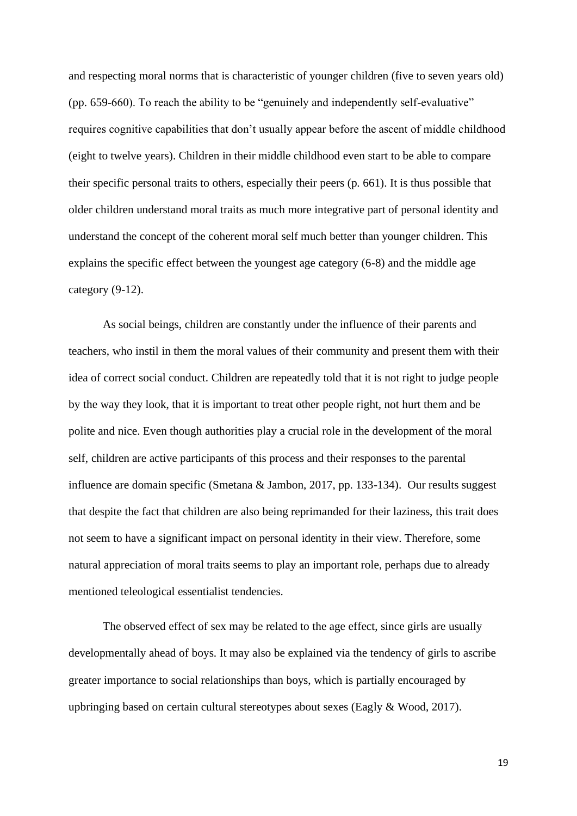and respecting moral norms that is characteristic of younger children (five to seven years old) (pp. 659-660). To reach the ability to be "genuinely and independently self-evaluative" requires cognitive capabilities that don't usually appear before the ascent of middle childhood (eight to twelve years). Children in their middle childhood even start to be able to compare their specific personal traits to others, especially their peers (p. 661). It is thus possible that older children understand moral traits as much more integrative part of personal identity and understand the concept of the coherent moral self much better than younger children. This explains the specific effect between the youngest age category (6-8) and the middle age category (9-12).

As social beings, children are constantly under the influence of their parents and teachers, who instil in them the moral values of their community and present them with their idea of correct social conduct. Children are repeatedly told that it is not right to judge people by the way they look, that it is important to treat other people right, not hurt them and be polite and nice. Even though authorities play a crucial role in the development of the moral self, children are active participants of this process and their responses to the parental influence are domain specific (Smetana & Jambon, 2017, pp. 133-134). Our results suggest that despite the fact that children are also being reprimanded for their laziness, this trait does not seem to have a significant impact on personal identity in their view. Therefore, some natural appreciation of moral traits seems to play an important role, perhaps due to already mentioned teleological essentialist tendencies.

The observed effect of sex may be related to the age effect, since girls are usually developmentally ahead of boys. It may also be explained via the tendency of girls to ascribe greater importance to social relationships than boys, which is partially encouraged by upbringing based on certain cultural stereotypes about sexes (Eagly & Wood, 2017).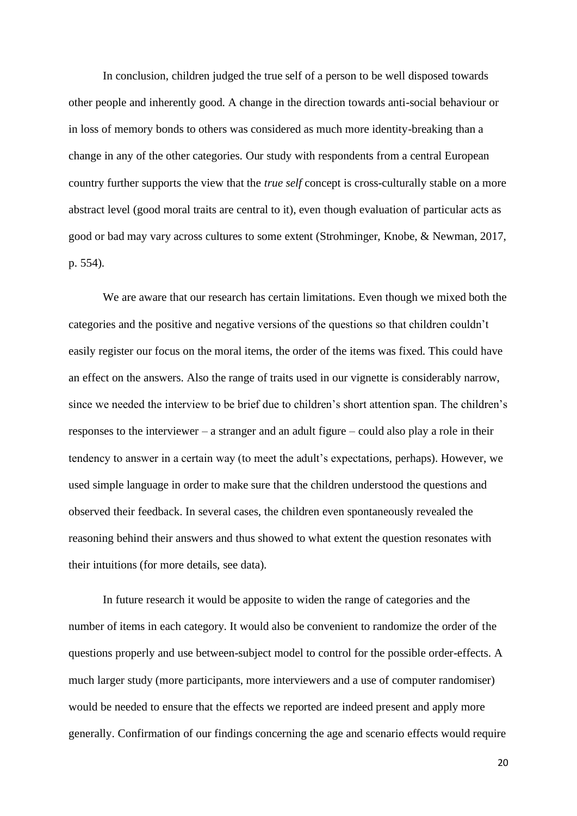In conclusion, children judged the true self of a person to be well disposed towards other people and inherently good. A change in the direction towards anti-social behaviour or in loss of memory bonds to others was considered as much more identity-breaking than a change in any of the other categories. Our study with respondents from a central European country further supports the view that the *true self* concept is cross-culturally stable on a more abstract level (good moral traits are central to it), even though evaluation of particular acts as good or bad may vary across cultures to some extent (Strohminger, Knobe, & Newman, 2017, p. 554).

We are aware that our research has certain limitations. Even though we mixed both the categories and the positive and negative versions of the questions so that children couldn't easily register our focus on the moral items, the order of the items was fixed. This could have an effect on the answers. Also the range of traits used in our vignette is considerably narrow, since we needed the interview to be brief due to children's short attention span. The children's responses to the interviewer – a stranger and an adult figure – could also play a role in their tendency to answer in a certain way (to meet the adult's expectations, perhaps). However, we used simple language in order to make sure that the children understood the questions and observed their feedback. In several cases, the children even spontaneously revealed the reasoning behind their answers and thus showed to what extent the question resonates with their intuitions (for more details, see data).

In future research it would be apposite to widen the range of categories and the number of items in each category. It would also be convenient to randomize the order of the questions properly and use between-subject model to control for the possible order-effects. A much larger study (more participants, more interviewers and a use of computer randomiser) would be needed to ensure that the effects we reported are indeed present and apply more generally. Confirmation of our findings concerning the age and scenario effects would require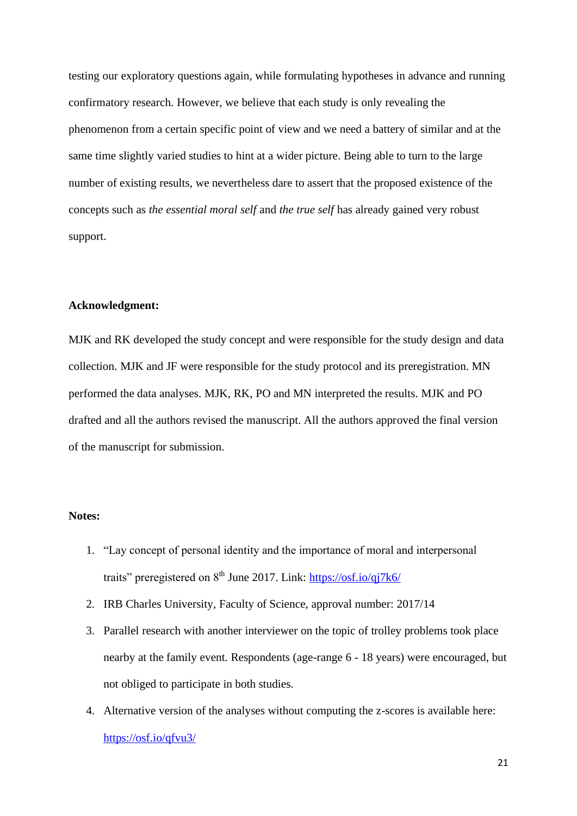testing our exploratory questions again, while formulating hypotheses in advance and running confirmatory research. However, we believe that each study is only revealing the phenomenon from a certain specific point of view and we need a battery of similar and at the same time slightly varied studies to hint at a wider picture. Being able to turn to the large number of existing results, we nevertheless dare to assert that the proposed existence of the concepts such as *the essential moral self* and *the true self* has already gained very robust support.

## **Acknowledgment:**

MJK and RK developed the study concept and were responsible for the study design and data collection. MJK and JF were responsible for the study protocol and its preregistration. MN performed the data analyses. MJK, RK, PO and MN interpreted the results. MJK and PO drafted and all the authors revised the manuscript. All the authors approved the final version of the manuscript for submission.

#### **Notes:**

- 1. "Lay concept of personal identity and the importance of moral and interpersonal traits" preregistered on  $8<sup>th</sup>$  June 2017. Link:  $\frac{https://osf.io/qj7k6/}{https://osf.io/qj7k6/}$
- 2. IRB Charles University, Faculty of Science, approval number: 2017/14
- 3. Parallel research with another interviewer on the topic of trolley problems took place nearby at the family event. Respondents (age-range 6 - 18 years) were encouraged, but not obliged to participate in both studies.
- 4. Alternative version of the analyses without computing the z-scores is available here: <https://osf.io/qfvu3/>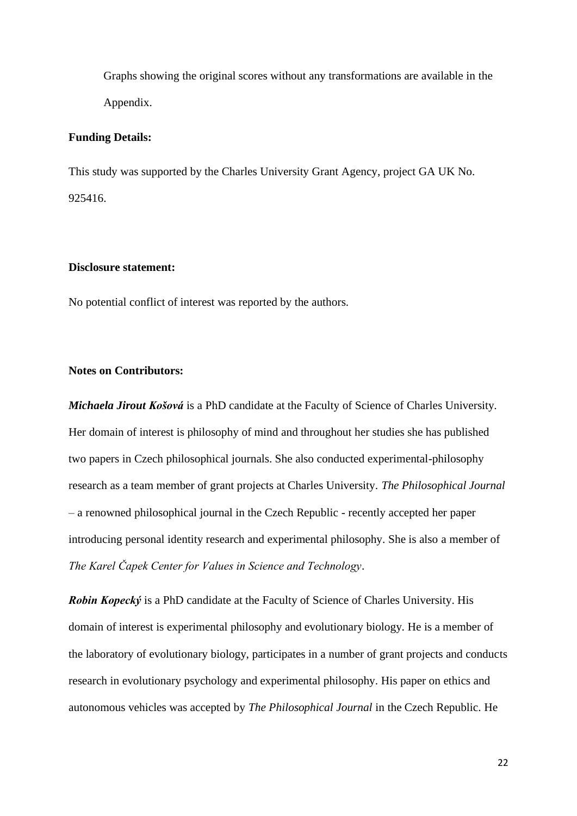Graphs showing the original scores without any transformations are available in the Appendix.

#### **Funding Details:**

This study was supported by the Charles University Grant Agency, project GA UK No. 925416.

#### **Disclosure statement:**

No potential conflict of interest was reported by the authors.

## **Notes on Contributors:**

*Michaela Jirout Košová* is a PhD candidate at the Faculty of Science of Charles University. Her domain of interest is philosophy of mind and throughout her studies she has published two papers in Czech philosophical journals. She also conducted experimental-philosophy research as a team member of grant projects at Charles University. *The Philosophical Journal* – a renowned philosophical journal in the Czech Republic - recently accepted her paper introducing personal identity research and experimental philosophy. She is also a member of *The Karel Čapek Center for Values in Science and Technology*.

*Robin Kopecký* is a PhD candidate at the Faculty of Science of Charles University. His domain of interest is experimental philosophy and evolutionary biology. He is a member of the laboratory of evolutionary biology, participates in a number of grant projects and conducts research in evolutionary psychology and experimental philosophy. His paper on ethics and autonomous vehicles was accepted by *The Philosophical Journal* in the Czech Republic. He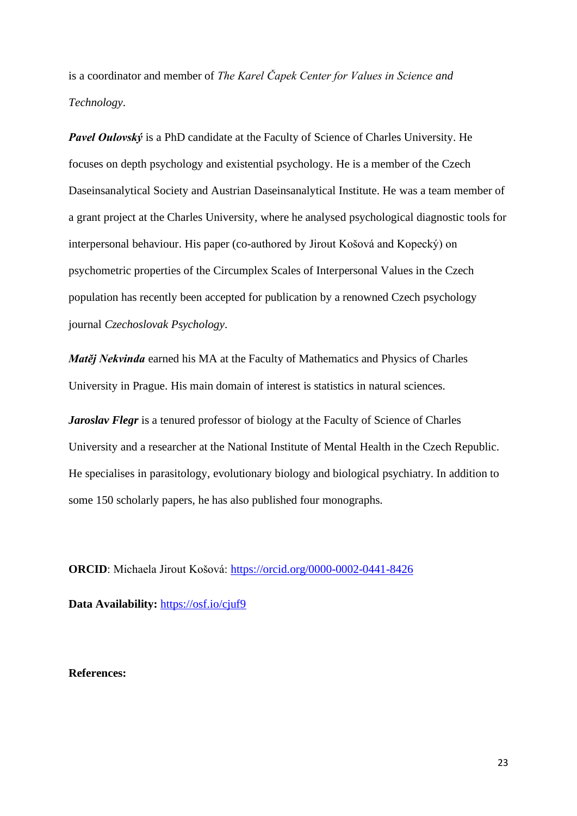is a coordinator and member of *The Karel Čapek Center for Values in Science and Technology*.

*Pavel Oulovský* is a PhD candidate at the Faculty of Science of Charles University. He focuses on depth psychology and existential psychology. He is a member of the Czech Daseinsanalytical Society and Austrian Daseinsanalytical Institute. He was a team member of a grant project at the Charles University, where he analysed psychological diagnostic tools for interpersonal behaviour. His paper (co-authored by Jirout Košová and Kopecký) on psychometric properties of the Circumplex Scales of Interpersonal Values in the Czech population has recently been accepted for publication by a renowned Czech psychology journal *Czechoslovak Psychology*.

*Matěj Nekvinda* earned his MA at the Faculty of Mathematics and Physics of Charles University in Prague. His main domain of interest is statistics in natural sciences.

*Jaroslav Flegr* is a tenured professor of biology at the Faculty of Science of Charles University and a researcher at the National Institute of Mental Health in the Czech Republic. He specialises in parasitology, evolutionary biology and biological psychiatry. In addition to some 150 scholarly papers, he has also published four monographs.

**ORCID**: Michaela Jirout Košová:<https://orcid.org/0000-0002-0441-8426>

**Data Availability:** <https://osf.io/cjuf9>

**References:**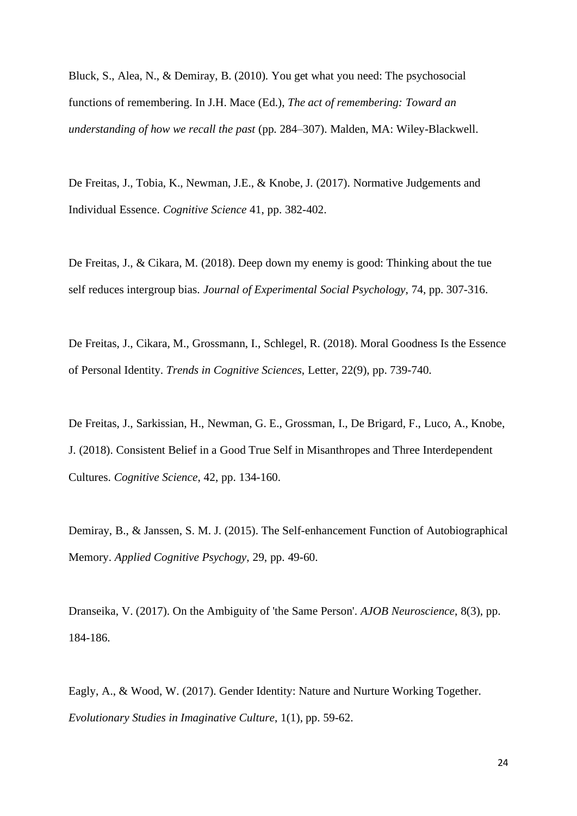Bluck, S., Alea, N., & Demiray, B. (2010). You get what you need: The psychosocial functions of remembering. In J.H. Mace (Ed.), *The act of remembering: Toward an understanding of how we recall the past* (pp. 284–307). Malden, MA: Wiley-Blackwell.

De Freitas, J., Tobia, K., Newman, J.E., & Knobe, J. (2017). Normative Judgements and Individual Essence. *Cognitive Science* 41, pp. 382-402.

De Freitas, J., & Cikara, M. (2018). Deep down my enemy is good: Thinking about the tue self reduces intergroup bias. *Journal of Experimental Social Psychology*, 74, pp. 307-316.

De Freitas, J., Cikara, M., Grossmann, I., Schlegel, R. (2018). Moral Goodness Is the Essence of Personal Identity. *Trends in Cognitive Sciences*, Letter, 22(9), pp. 739-740.

De Freitas, J., Sarkissian, H., Newman, G. E., Grossman, I., De Brigard, F., Luco, A., Knobe, J. (2018). Consistent Belief in a Good True Self in Misanthropes and Three Interdependent Cultures. *Cognitive Science*, 42, pp. 134-160.

Demiray, B., & Janssen, S. M. J. (2015). The Self-enhancement Function of Autobiographical Memory. *Applied Cognitive Psychogy*, 29, pp. 49-60.

Dranseika, V. (2017). On the Ambiguity of 'the Same Person'. *AJOB Neuroscience*, 8(3), pp. 184-186.

Eagly, A., & Wood, W. (2017). Gender Identity: Nature and Nurture Working Together. *Evolutionary Studies in Imaginative Culture*, 1(1), pp. 59-62.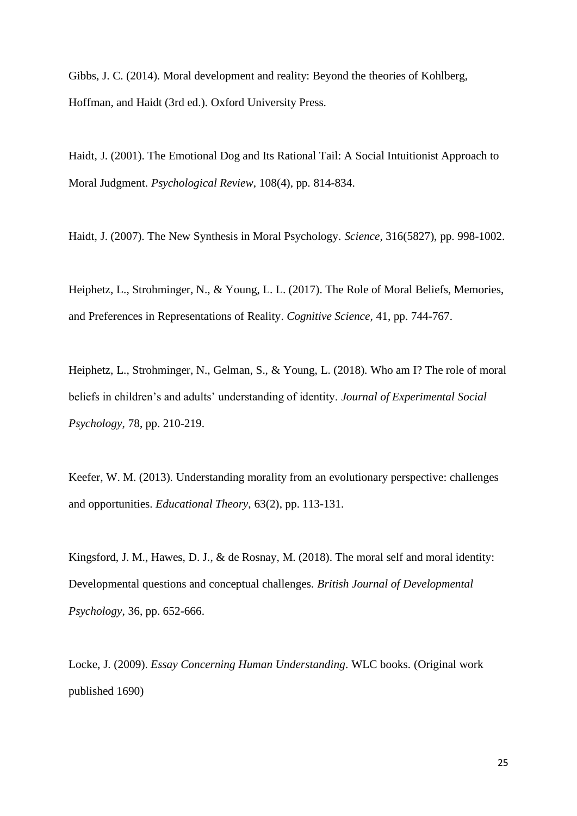Gibbs, J. C. (2014). Moral development and reality: Beyond the theories of Kohlberg, Hoffman, and Haidt (3rd ed.). Oxford University Press.

Haidt, J. (2001). The Emotional Dog and Its Rational Tail: A Social Intuitionist Approach to Moral Judgment. *Psychological Review*, 108(4), pp. 814-834.

Haidt, J. (2007). The New Synthesis in Moral Psychology. *Science,* 316(5827), pp. 998-1002.

Heiphetz, L., Strohminger, N., & Young, L. L. (2017). The Role of Moral Beliefs, Memories, and Preferences in Representations of Reality. *Cognitive Science,* 41, pp. 744-767.

Heiphetz, L., Strohminger, N., Gelman, S., & Young, L. (2018). Who am I? The role of moral beliefs in children's and adults' understanding of identity. *Journal of Experimental Social Psychology*, 78, pp. 210-219.

Keefer, W. M. (2013). Understanding morality from an evolutionary perspective: challenges and opportunities. *Educational Theory*, 63(2), pp. 113-131.

Kingsford, J. M., Hawes, D. J., & de Rosnay, M. (2018). The moral self and moral identity: Developmental questions and conceptual challenges. *British Journal of Developmental Psychology*, 36, pp. 652-666.

Locke, J. (2009). *Essay Concerning Human Understanding*. WLC books. (Original work published 1690)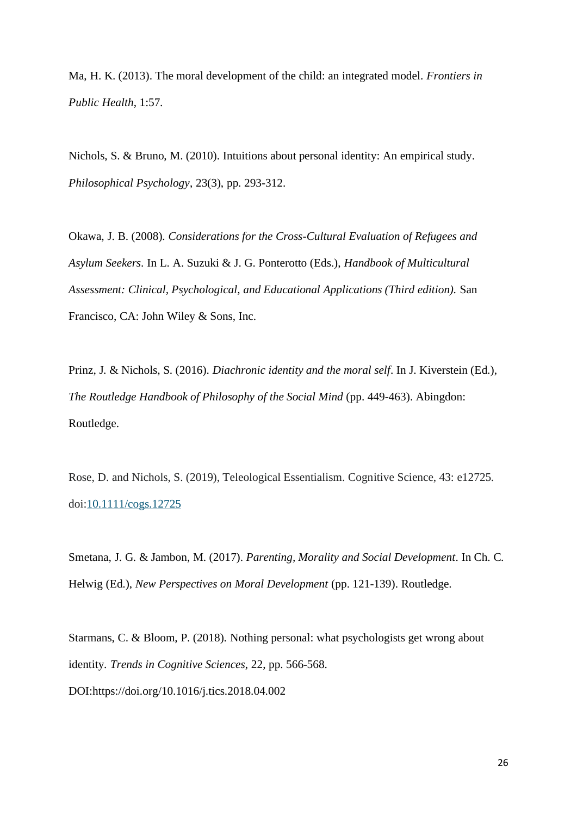Ma, H. K. (2013). The moral development of the child: an integrated model. *Frontiers in Public Health*, 1:57.

Nichols, S. & Bruno, M. (2010). Intuitions about personal identity: An empirical study. *Philosophical Psychology*, 23(3), pp. 293-312.

Okawa, J. B. (2008). *Considerations for the Cross-Cultural Evaluation of Refugees and Asylum Seekers*. In L. A. Suzuki & J. G. Ponterotto (Eds.), *Handbook of Multicultural Assessment: Clinical, Psychological, and Educational Applications (Third edition).* San Francisco, CA: John Wiley & Sons, Inc.

Prinz, J. & Nichols, S. (2016). *Diachronic identity and the moral self*. In J. Kiverstein (Ed.), *The Routledge Handbook of Philosophy of the Social Mind* (pp. 449-463). Abingdon: Routledge.

Rose, D. and Nichols, S. (2019), Teleological Essentialism. Cognitive Science, 43: e12725. doi[:10.1111/cogs.12725](https://doi.org/10.1111/cogs.12725)

Smetana, J. G. & Jambon, M. (2017). *Parenting, Morality and Social Development*. In Ch. C. Helwig (Ed.), *New Perspectives on Moral Development* (pp. 121-139). Routledge.

Starmans, C. & Bloom, P. (2018). Nothing personal: what psychologists get wrong about identity*. Trends in Cognitive Sciences*, 22, pp. 566-568. DOI:https://doi.org/10.1016/j.tics.2018.04.002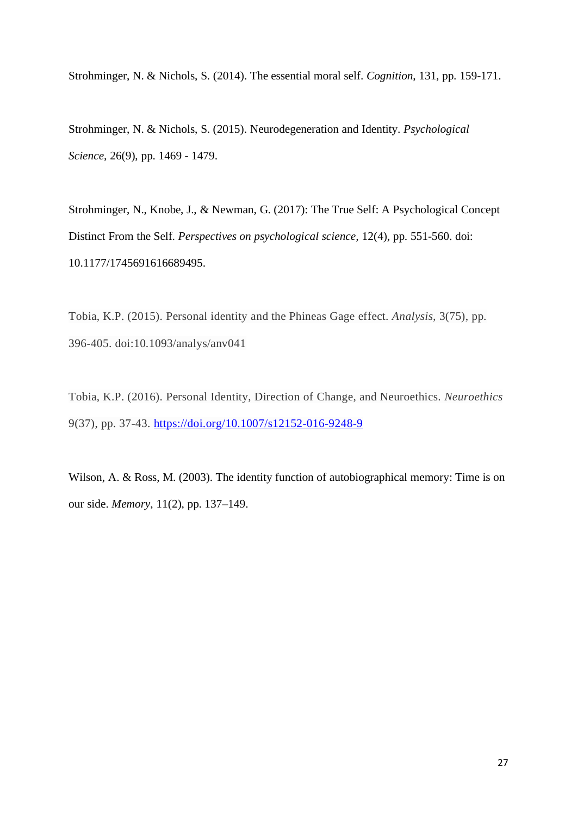Strohminger, N. & Nichols, S. (2014). The essential moral self. *Cognition*, 131, pp. 159-171.

Strohminger, N. & Nichols, S. (2015). Neurodegeneration and Identity. *Psychological Science,* 26(9), pp. 1469 - 1479.

Strohminger, N., Knobe, J., & Newman, G. (2017): The True Self: A Psychological Concept Distinct From the Self. *Perspectives on psychological science,* 12(4), pp. 551-560. doi: 10.1177/1745691616689495.

Tobia, K.P. (2015). Personal identity and the Phineas Gage effect. *Analysis,* 3(75), pp. 396-405. doi:10.1093/analys/anv041

Tobia, K.P. (2016). Personal Identity, Direction of Change, and Neuroethics. *Neuroethics* 9(37), pp. 37-43.<https://doi.org/10.1007/s12152-016-9248-9>

Wilson, A. & Ross, M. (2003). The identity function of autobiographical memory: Time is on our side. *Memory*, 11(2), pp. 137–149.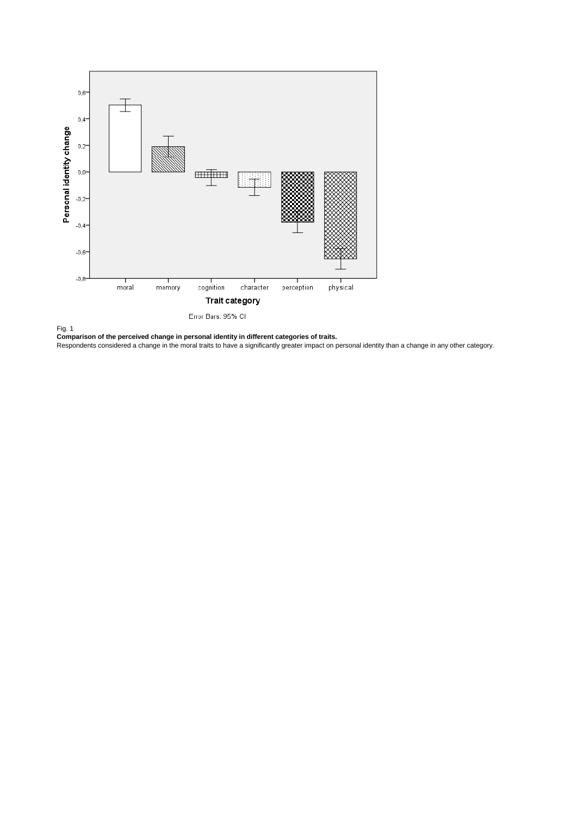



**Comparison of the perceived change in personal identity in different categories of traits.**

Respondents considered a change in the moral traits to have a significantly greater impact on personal identity than a change in any other category.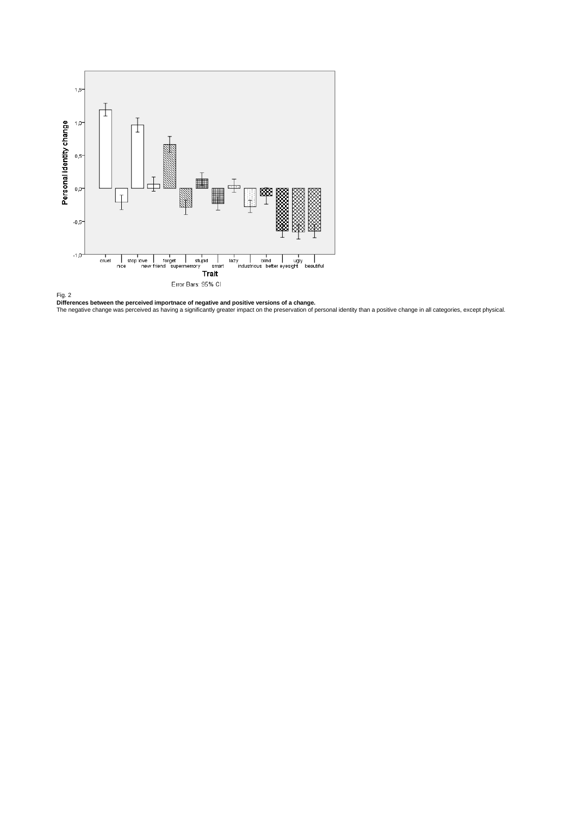

**Differences between the perceived importnace of negative and positive versions of a change.**<br>The negative change was perceived as having a significantly greater impact on the preservation of personal identity than a posit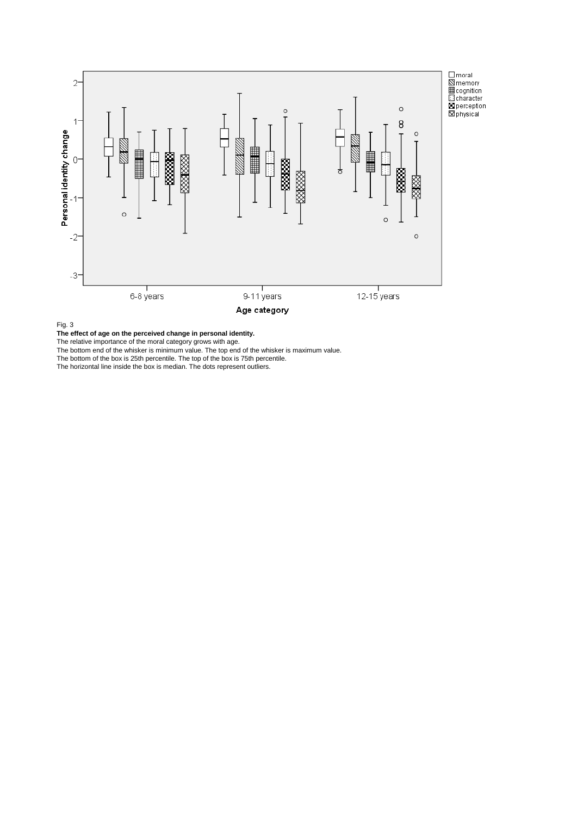

Fig. 3

**The effect of age on the perceived change in personal identity.**

The relative importance of the moral category grows with age.

The bottom end of the whisker is minimum value. The top end of the whisker is maximum value.

The bottom of the box is 25th percentile. The top of the box is 75th percentile.

The horizontal line inside the box is median. The dots represent outliers.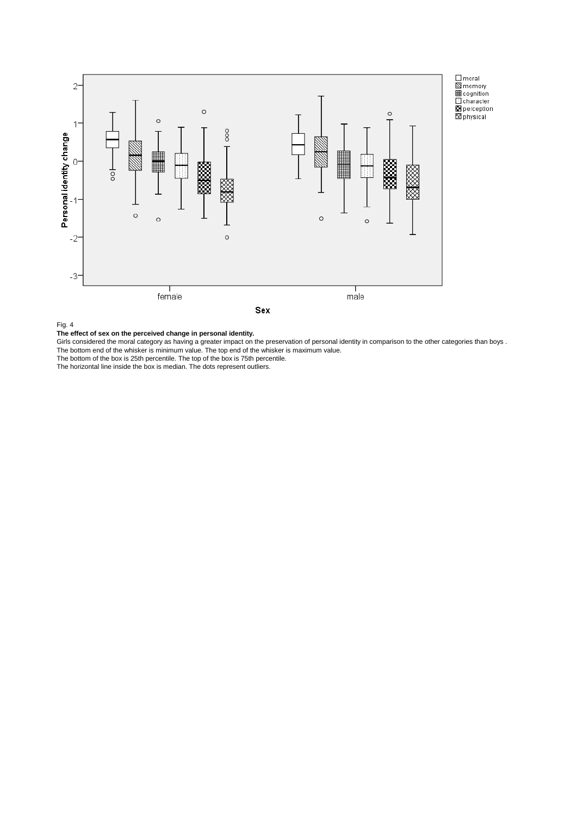

Fig. 4



Girls considered the moral category as having a greater impact on the preservation of personal identity in comparison to the other categories than boys . The bottom end of the whisker is minimum value. The top end of the whisker is maximum value.

The bottom of the box is 25th percentile. The top of the box is 75th percentile.

The horizontal line inside the box is median. The dots represent outliers.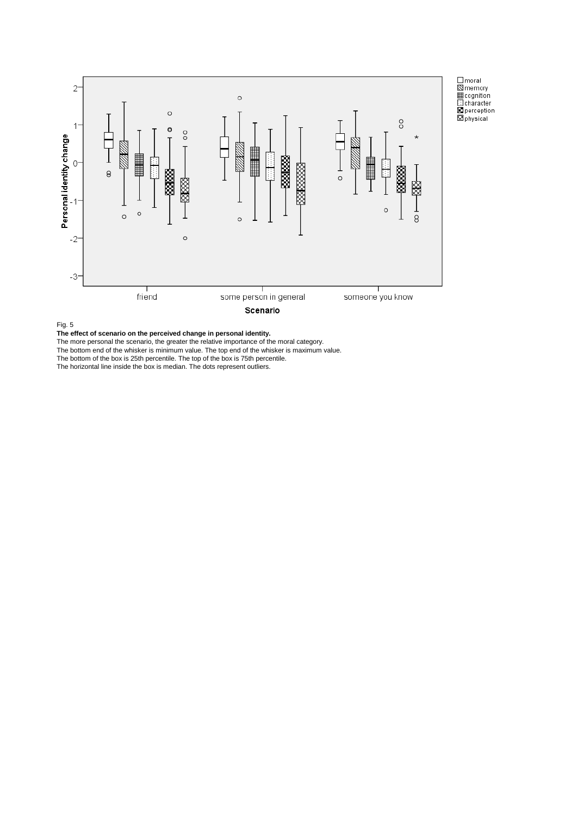

Fig. 5

**The effect of scenario on the perceived change in personal identity.**

The more personal the scenario, the greater the relative importance of the moral category.

The bottom end of the whisker is minimum value. The top end of the whisker is maximum value.

The bottom of the box is 25th percentile. The top of the box is 75th percentile.

The horizontal line inside the box is median. The dots represent outliers.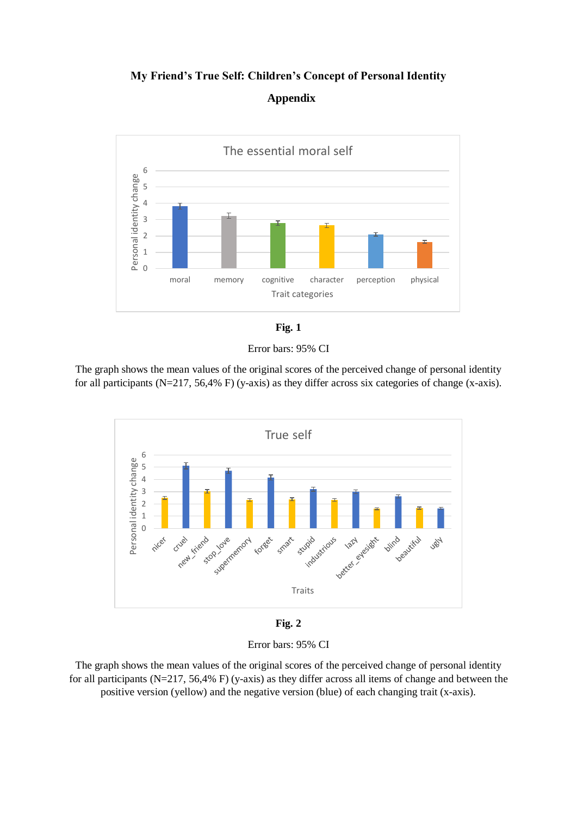# **My Friend's True Self: Children's Concept of Personal Identity Appendix**





Error bars: 95% CI

The graph shows the mean values of the original scores of the perceived change of personal identity for all participants (N=217, 56,4% F) (y-axis) as they differ across six categories of change (x-axis).



**Fig. 2**

Error bars: 95% CI

The graph shows the mean values of the original scores of the perceived change of personal identity for all participants (N=217, 56,4% F) (y-axis) as they differ across all items of change and between the positive version (yellow) and the negative version (blue) of each changing trait (x-axis).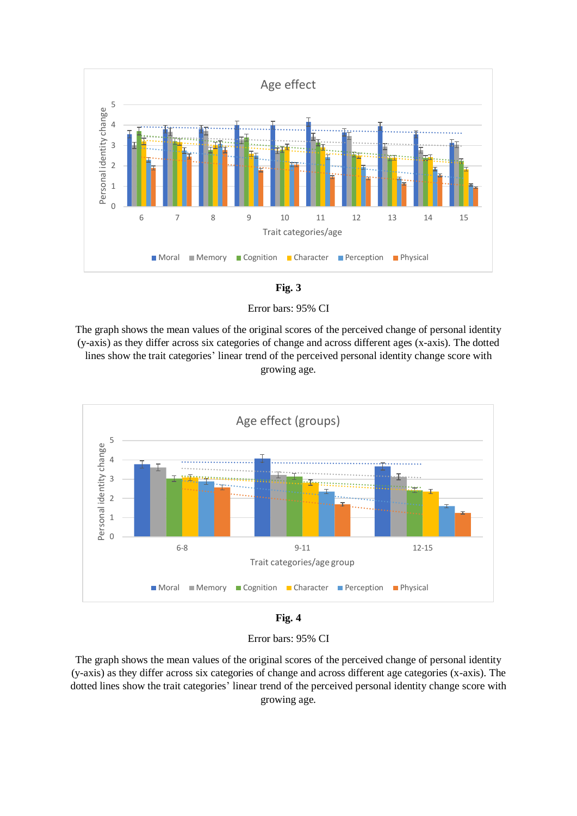



Error bars: 95% CI

The graph shows the mean values of the original scores of the perceived change of personal identity (y-axis) as they differ across six categories of change and across different ages (x-axis). The dotted lines show the trait categories' linear trend of the perceived personal identity change score with growing age.



**Fig. 4**

Error bars: 95% CI

The graph shows the mean values of the original scores of the perceived change of personal identity (y-axis) as they differ across six categories of change and across different age categories (x-axis). The dotted lines show the trait categories' linear trend of the perceived personal identity change score with growing age.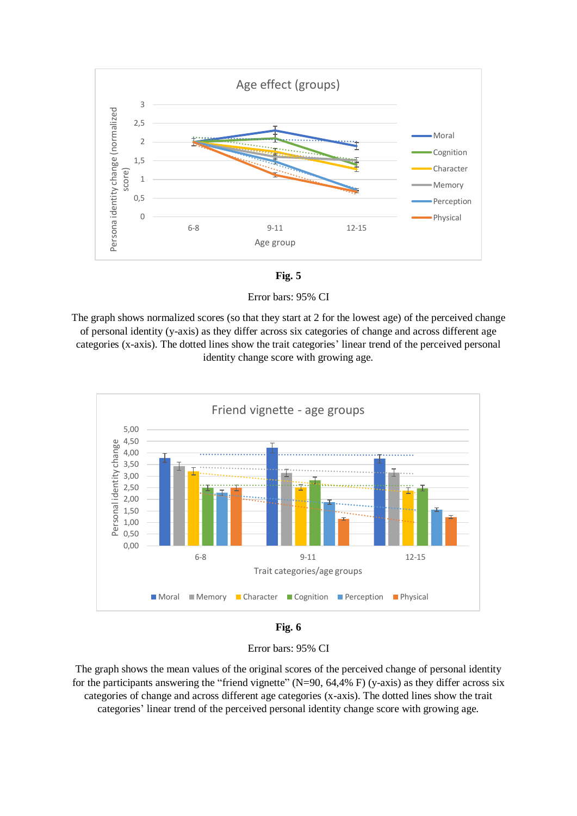



Error bars: 95% CI

The graph shows normalized scores (so that they start at 2 for the lowest age) of the perceived change of personal identity (y-axis) as they differ across six categories of change and across different age categories (x-axis). The dotted lines show the trait categories' linear trend of the perceived personal identity change score with growing age.



**Fig. 6**

Error bars: 95% CI

The graph shows the mean values of the original scores of the perceived change of personal identity for the participants answering the "friend vignette"  $(N=90, 64, 4\% \text{ F})$  (y-axis) as they differ across six categories of change and across different age categories (x-axis). The dotted lines show the trait categories' linear trend of the perceived personal identity change score with growing age.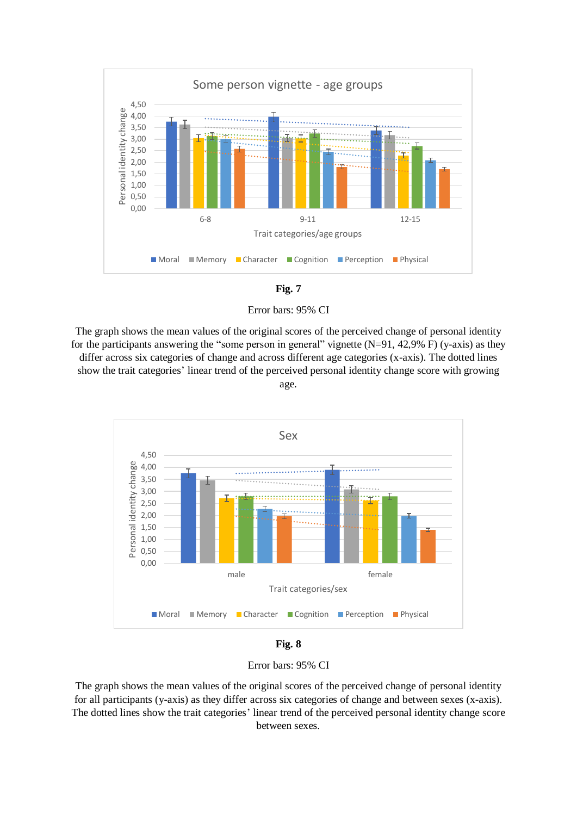



Error bars: 95% CI

The graph shows the mean values of the original scores of the perceived change of personal identity for the participants answering the "some person in general" vignette  $(N=91, 42,9% F)$  (y-axis) as they differ across six categories of change and across different age categories (x-axis). The dotted lines show the trait categories' linear trend of the perceived personal identity change score with growing age.



**Fig. 8**

Error bars: 95% CI

The graph shows the mean values of the original scores of the perceived change of personal identity for all participants (y-axis) as they differ across six categories of change and between sexes (x-axis). The dotted lines show the trait categories' linear trend of the perceived personal identity change score between sexes.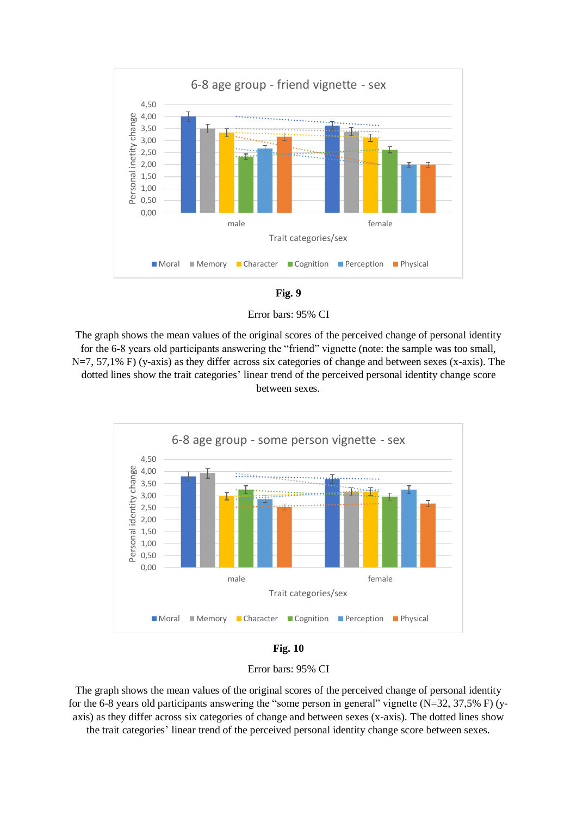



Error bars: 95% CI

The graph shows the mean values of the original scores of the perceived change of personal identity for the 6-8 years old participants answering the "friend" vignette (note: the sample was too small, N=7, 57,1% F) (y-axis) as they differ across six categories of change and between sexes (x-axis). The dotted lines show the trait categories' linear trend of the perceived personal identity change score between sexes.





Error bars: 95% CI

The graph shows the mean values of the original scores of the perceived change of personal identity for the 6-8 years old participants answering the "some person in general" vignette (N=32, 37,5% F) (yaxis) as they differ across six categories of change and between sexes (x-axis). The dotted lines show the trait categories' linear trend of the perceived personal identity change score between sexes.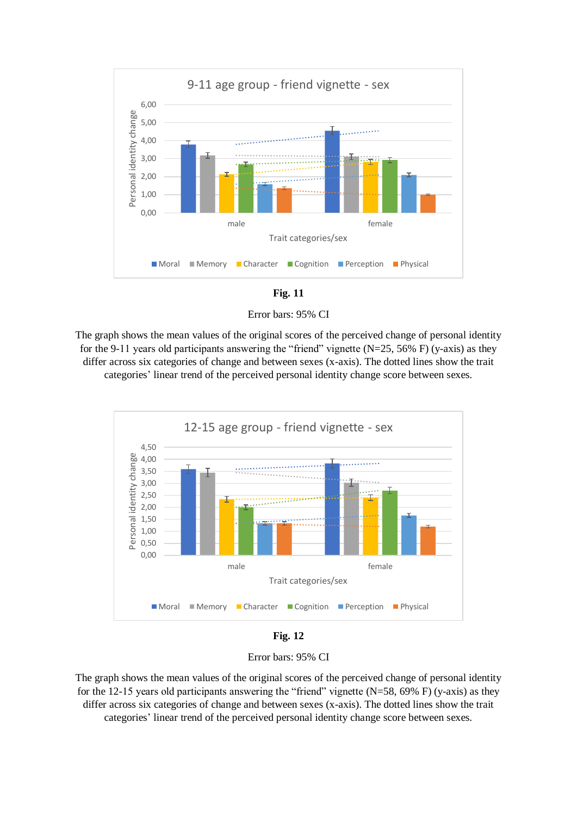



Error bars: 95% CI

The graph shows the mean values of the original scores of the perceived change of personal identity for the 9-11 years old participants answering the "friend" vignette  $(N=25, 56% F)$  (y-axis) as they differ across six categories of change and between sexes (x-axis). The dotted lines show the trait categories' linear trend of the perceived personal identity change score between sexes.



**Fig. 12**

Error bars: 95% CI

The graph shows the mean values of the original scores of the perceived change of personal identity for the 12-15 years old participants answering the "friend" vignette  $(N=58, 69\% \text{ F})$  (y-axis) as they differ across six categories of change and between sexes (x-axis). The dotted lines show the trait categories' linear trend of the perceived personal identity change score between sexes.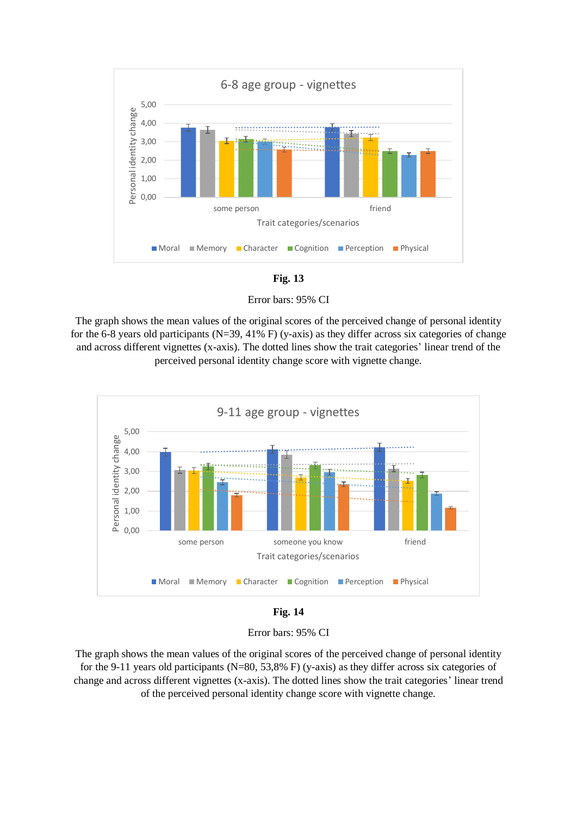



Error bars: 95% CI

The graph shows the mean values of the original scores of the perceived change of personal identity for the 6-8 years old participants (N=39, 41% F) (y-axis) as they differ across six categories of change and across different vignettes (x-axis). The dotted lines show the trait categories' linear trend of the perceived personal identity change score with vignette change.



**Fig. 14**

Error bars: 95% CI

The graph shows the mean values of the original scores of the perceived change of personal identity for the 9-11 years old participants (N=80, 53,8% F) (y-axis) as they differ across six categories of change and across different vignettes (x-axis). The dotted lines show the trait categories' linear trend of the perceived personal identity change score with vignette change.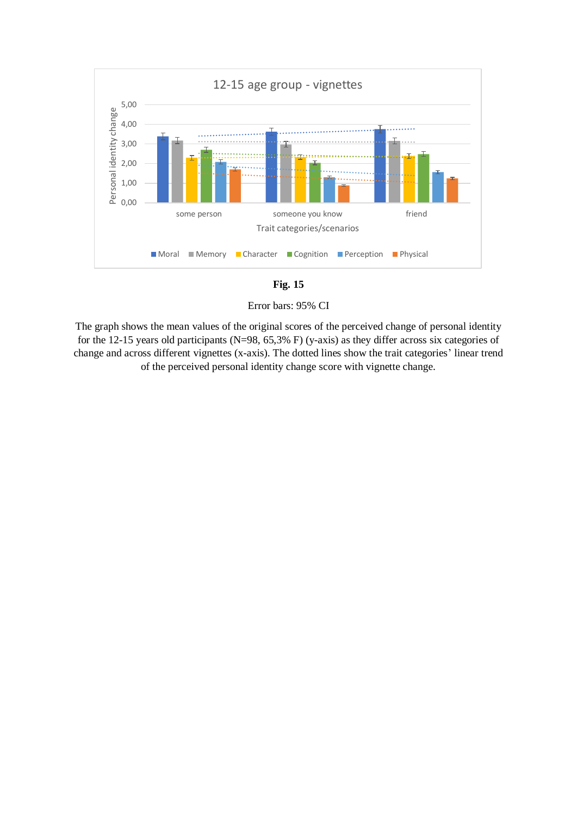

**Fig. 15**

Error bars: 95% CI

The graph shows the mean values of the original scores of the perceived change of personal identity for the 12-15 years old participants (N=98, 65,3% F) (y-axis) as they differ across six categories of change and across different vignettes (x-axis). The dotted lines show the trait categories' linear trend of the perceived personal identity change score with vignette change.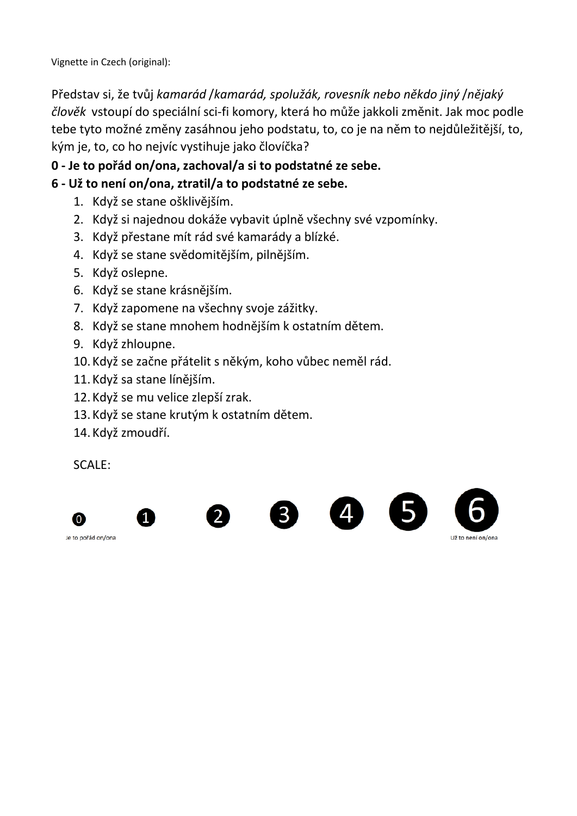Vignette in Czech (original):

Představ si, že tvůj *kamarád* /*kamarád, spolužák, rovesník nebo někdo jiný* /*nějaký člověk* vstoupí do speciální sci-fi komory, která ho může jakkoli změnit. Jak moc podle tebe tyto možné změny zasáhnou jeho podstatu, to, co je na něm to nejdůležitější, to, kým je, to, co ho nejvíc vystihuje jako človíčka?

# **0 - Je to pořád on/ona, zachoval/a si to podstatné ze sebe.**

# **6 - Už to není on/ona, ztratil/a to podstatné ze sebe.**

- 1. Když se stane ošklivějším.
- 2. Když si najednou dokáže vybavit úplně všechny své vzpomínky.
- 3. Když přestane mít rád své kamarády a blízké.
- 4. Když se stane svědomitějším, pilnějším.
- 5. Když oslepne.
- 6. Když se stane krásnějším.
- 7. Když zapomene na všechny svoje zážitky.
- 8. Když se stane mnohem hodnějším k ostatním dětem.
- 9. Když zhloupne.
- 10. Když se začne přátelit s někým, koho vůbec neměl rád.
- 11. Když sa stane línějším.
- 12. Když se mu velice zlepší zrak.
- 13. Když se stane krutým k ostatním dětem.
- 14. Když zmoudří.

SCALE:





 $\mathcal{P}$